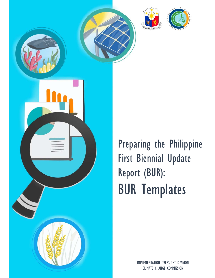





ł

Preparing the Philippine First Biennial Update Report (BUR): BUR Templates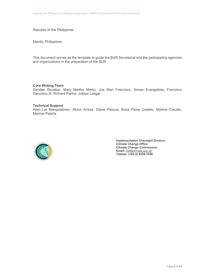Republic of the Philippines

Manila, Philippines

This document serves as the template to guide the BUR Secretariat and the participating agencies and organizations in the preparation of the BUR

# **Core Writing Team**

Sandee Recabar, Mary Martha Merilo, Joe Mari Francisco, Aimee Evangelista, Francisco Dacumos III, Richard Palma, Jokkaz Latigar

#### **Technical Support**

Ailen Lei Mangulabnan, Alona Arreza, Diane Pascua, Bona Paola Castelo, Mylene Claudio, Maricar Palaña



**Implementation Oversight Division Climate Change Office Climate Change Commission Email:** iod@climate.gov.ph  **Telefax: (+63-2) 8254-7056**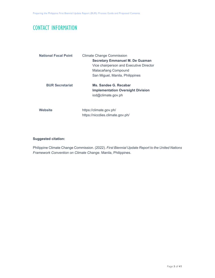# CONTACT INFORMATION

| <b>National Focal Point</b> | <b>Climate Change Commission</b><br><b>Secretary Emmanuel M. De Guzman</b><br>Vice chairperson and Executive Director<br>Malacañang Compound<br>San Miguel, Manila, Philippines |
|-----------------------------|---------------------------------------------------------------------------------------------------------------------------------------------------------------------------------|
| <b>BUR Secretariat</b>      | Ms. Sandee G. Recabar<br><b>Implementation Oversight Division</b><br>iod@climate.gov.ph                                                                                         |
| Website                     | https://climate.gov.ph/<br>https://niccdies.climate.gov.ph/                                                                                                                     |

# **Suggested citation:**

Philippine Climate Change Commission. (2022). *First Biennial Update Report to the United Nations Framework Convention on Climate Change*. Manila, Philippines.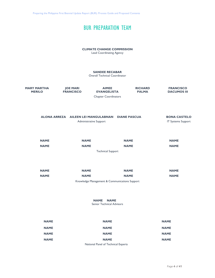# BUR PREPARATION TEAM

# **CLIMATE CHANGE COMMISSION**

Lead Coordinating Agency

## **SANDEE RECABAR**

Overall Technical Coordinator

| <b>MARY MARTHA</b><br><b>MERILO</b> | <b>JOE MARI</b><br><b>FRANCISCO</b> | <b>AIMEE</b><br><b>EVANGELISTA</b><br><b>Chapter Coordinators</b> | <b>RICHARD</b><br><b>PALMA</b> | <b>FRANCISCO</b><br><b>DACUMOS III</b>           |
|-------------------------------------|-------------------------------------|-------------------------------------------------------------------|--------------------------------|--------------------------------------------------|
| <b>ALONA ARREZA</b>                 | Administrative Support              | AILEEN LEI MANGULABNAN DIANE PASCUA                               |                                | <b>BONA CASTELO</b><br><b>IT Systems Support</b> |
| <b>NAME</b><br><b>NAME</b>          | <b>NAME</b><br><b>NAME</b>          |                                                                   | <b>NAME</b><br><b>NAME</b>     | <b>NAME</b><br><b>NAME</b>                       |
|                                     |                                     | <b>Technical Support</b>                                          |                                |                                                  |
|                                     |                                     |                                                                   |                                |                                                  |
| <b>NAME</b>                         | <b>NAME</b>                         |                                                                   | <b>NAME</b>                    | <b>NAME</b>                                      |
| <b>NAME</b>                         | <b>NAME</b>                         |                                                                   | <b>NAME</b>                    | <b>NAME</b>                                      |
|                                     |                                     | Knowledge Management & Communications Support                     |                                |                                                  |
|                                     |                                     | <b>NAME</b><br><b>NAME</b><br>Senior Technical Advisors           |                                |                                                  |

| <b>NAME</b> | <b>NAME</b>                         | <b>NAME</b> |
|-------------|-------------------------------------|-------------|
| <b>NAME</b> | <b>NAME</b>                         | <b>NAME</b> |
| <b>NAME</b> | <b>NAME</b>                         | <b>NAME</b> |
| <b>NAME</b> | <b>NAME</b>                         | <b>NAME</b> |
|             | National Panel of Technical Experts |             |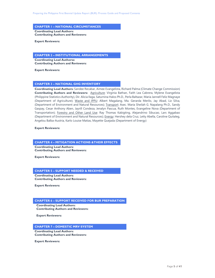#### **CHAPTER 1 – NATIONAL CIRCUMSTANCES**

**Coordinating Lead Authors: Contributing Authors and Reviewers:** 

**Expert Reviewers:**

#### **CHAPTER 2 – INSTITUTIONAL ARRANGEMENTS**

**Coordinating Lead Authorss: Contributing Authors and Reviewers:** 

**Expert Reviewers:**

#### **CHAPTER 3 – NATIONAL GHG INVENTORY**

**Coordinating Lead Authors:** Sandee Recabar, Aimee Evangelista, Richard Palma (Climate Change Commission) **Contributing Authors and Reviewers:** Agriculture: Virginia Bathan, Faith Lea Cabrera, Mylene Evangelista (Philippine Statistics Authority), Dir. Alicia Ilaga, Saturnina Halos Ph.D., Perla Baltazar, Maria Jannell Feliz Magnaye (Department of Agriculture); Waste and IPPU: Albert Magalang, Ma. Gerarda Merilo, Jay Abad, Liz Silva, (Department of Environment and Natural Resources); Transport: Asec. Maria Sheilah G. Napalang Ph.D., Sandy Gaspay, Cesar Anthony Aben, Jayrill Condeza, Jenalyn Pascua, Ruth Montes, Evangeline Nova (Department of Transportation); Forestry and Other Land Use: Ray Thomas Kabigting, Alejandrino Sibucao, Lars Aggabao (Department of Environment and Natural Resources); Energy: Hershey dela Cruz, Letty Abella, Caroline Quitaleg, Angelou Balba-Austria, Karlo Louise Matias, Mayette Quejada (Department of Energy)

**Expert Reviewers:**

#### **CHAPTER 4 – MITIGATION ACTIONS &THEIR EFFECTS**

**Coordinating Lead Authors: Contributing Authors and Reviewers:** 

**Expert Reviewers:**

#### **CHAPTER 5 – SUPPORT NEEDED & RECEIVED**

**Coordinating Lead Authors: Contributing Authors and Reviewers:** 

**Expert Reviewers:**

#### **CHAPTER 6 – SUPPORT RECEIVED FOR BUR PREPARATION**

**Coordinating Lead Authors: Contributing Authors and Reviewers:** 

**Expert Reviewers:**

#### **CHAPTER 7 – DOMESTIC MRV SYSTEM**

**Coordinating Lead Authors: Contributing Authors and Reviewers:** 

**Expert Reviewers:**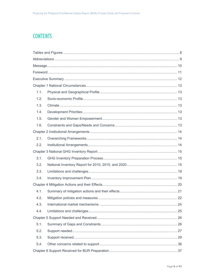# **CONTENTS**

| 1.1. |  |
|------|--|
| 1.2. |  |
| 1.3. |  |
| 1.4. |  |
| 1.5. |  |
| 1.6. |  |
|      |  |
| 2.1. |  |
| 2.2. |  |
|      |  |
| 3.1. |  |
| 3.2. |  |
| 3.3. |  |
| 3.4. |  |
|      |  |
| 4.1. |  |
| 4.2. |  |
| 4.3. |  |
| 4.4. |  |
|      |  |
| 5.1. |  |
| 5.2. |  |
| 5.3. |  |
| 5.4. |  |
|      |  |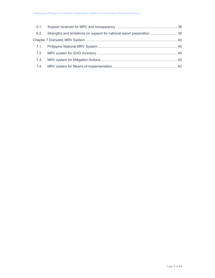| 6.2. | Strengths and limitations on support for national report preparation  39 |  |
|------|--------------------------------------------------------------------------|--|
|      |                                                                          |  |
|      |                                                                          |  |
|      |                                                                          |  |
|      |                                                                          |  |
|      |                                                                          |  |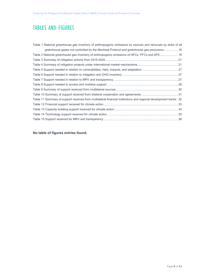# TABLES AND FIGURES

| Table 1 National greenhouse gas inventory of anthropogenic emissions by sources and removals by sinks of all        |
|---------------------------------------------------------------------------------------------------------------------|
| greenhouse gases not controlled by the Montreal Protocol and greenhouse gas precursors 16                           |
| Table 2 National greenhouse gas inventory of anthropogenic emissions of HFCs, PFCs and SF6 18                       |
|                                                                                                                     |
|                                                                                                                     |
|                                                                                                                     |
|                                                                                                                     |
|                                                                                                                     |
|                                                                                                                     |
|                                                                                                                     |
|                                                                                                                     |
| 32. Table 11 Summary of support received from multilateral financial institutions and regional development banks 32 |
|                                                                                                                     |
|                                                                                                                     |
|                                                                                                                     |
|                                                                                                                     |

# **No table of figures entries found.**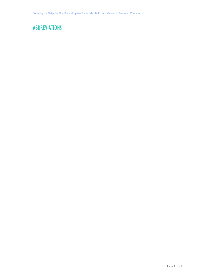# ABBREVIATIONS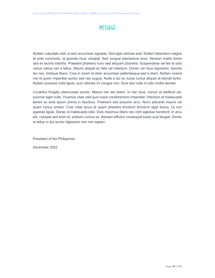# **MESSAGE**

Nullam vulputate nibh ut sem accumsan egestas. Sed eget ultricies erat. Nullam bibendum magna et ante commodo, id gravida risus volutpat. Sed congue elementum eros. Aenean mattis lorem sed ex lacinia lobortis. Praesent pharetra nunc sed aliquam pharetra. Suspendisse vel leo at odio varius varius nec a tellus. Mauris aliquet ac felis vel interdum. Donec vel risus dignissim, lobortis leo nec, tristique libero. Cras in lorem id dolor accumsan pellentesque sed a diam. Nullam viverra nisi id quam imperdiet auctor sed nec augue. Nulla a dui eu turpis luctus aliquet at blandit tortor. Nullam posuere nulla ligula, quis ultricies mi congue non. Duis sed nulla id odio mollis laoreet.

Curabitur fringilla ullamcorper auctor. Mauris nec leo lorem. In nisi risus, rutrum at eleifend vel, pulvinar eget nulla. Vivamus vitae velit quis turpis condimentum imperdiet. Interdum et malesuada fames ac ante ipsum primis in faucibus. Praesent sed posuere arcu. Nunc placerat mauris vel quam luctus ornare. Cras vitae lacus et quam pharetra tincidunt tincidunt eget lectus. Ut non egestas ligula. Donec id malesuada odio. Duis maximus libero nec nibh egestas hendrerit. In arcu elit, volutpat sed enim at, pretium cursus ex. Aenean efficitur consequat turpis quis feugiat. Donec et tellus in dui auctor dignissim non non sapien.

President of the Philippines

December 2022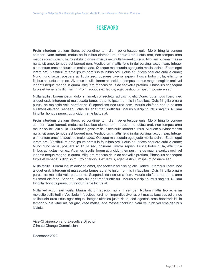# FOREWORD

Proin interdum pretium libero, ac condimentum diam pellentesque quis. Morbi fringilla congue semper. Nam laoreet, metus ac faucibus elementum, neque ante luctus erat, non tempus urna mauris sollicitudin nulla. Curabitur dignissim risus nec nulla laoreet cursus. Aliquam pulvinar massa nulla, sit amet tempus est laoreet non. Vestibulum mattis felis in dui pulvinar accumsan. Integer elementum eros ac faucibus malesuada. Quisque malesuada eget justo mollis lacinia. Etiam eget lorem orci. Vestibulum ante ipsum primis in faucibus orci luctus et ultrices posuere cubilia curae; Nunc nunc lacus, posuere ac ligula sed, posuere viverra sapien. Fusce tortor nulla, efficitur a finibus at, luctus non ex. Vivamus iaculis, lorem at tincidunt tempus, metus magna sagittis orci, vel lobortis neque magna in quam. Aliquam rhoncus risus ac convallis pretium. Phasellus consequat turpis et venenatis dignissim. Proin faucibus ex lectus, eget vestibulum ipsum posuere sed.

Nulla facilisi. Lorem ipsum dolor sit amet, consectetur adipiscing elit. Donec ut tempus libero, nec aliquet erat. Interdum et malesuada fames ac ante ipsum primis in faucibus. Duis fringilla ornare purus, ac molestie velit porttitor at. Suspendisse nec urna sem. Mauris eleifend neque at urna euismod eleifend. Aenean luctus dui eget mattis efficitur. Mauris suscipit cursus sagittis. Nullam fringilla rhoncus purus, ut tincidunt ante luctus at.

Proin interdum pretium libero, ac condimentum diam pellentesque quis. Morbi fringilla congue semper. Nam laoreet, metus ac faucibus elementum, neque ante luctus erat, non tempus urna mauris sollicitudin nulla. Curabitur dignissim risus nec nulla laoreet cursus. Aliquam pulvinar massa nulla, sit amet tempus est laoreet non. Vestibulum mattis felis in dui pulvinar accumsan. Integer elementum eros ac faucibus malesuada. Quisque malesuada eget justo mollis lacinia. Etiam eget lorem orci. Vestibulum ante ipsum primis in faucibus orci luctus et ultrices posuere cubilia curae; Nunc nunc lacus, posuere ac ligula sed, posuere viverra sapien. Fusce tortor nulla, efficitur a finibus at, luctus non ex. Vivamus iaculis, lorem at tincidunt tempus, metus magna sagittis orci, vel lobortis neque magna in quam. Aliquam rhoncus risus ac convallis pretium. Phasellus consequat turpis et venenatis dignissim. Proin faucibus ex lectus, eget vestibulum ipsum posuere sed.

Nulla facilisi. Lorem ipsum dolor sit amet, consectetur adipiscing elit. Donec ut tempus libero, nec aliquet erat. Interdum et malesuada fames ac ante ipsum primis in faucibus. Duis fringilla ornare purus, ac molestie velit porttitor at. Suspendisse nec urna sem. Mauris eleifend neque at urna euismod eleifend. Aenean luctus dui eget mattis efficitur. Mauris suscipit cursus sagittis. Nullam fringilla rhoncus purus, ut tincidunt ante luctus at.

Nulla vel accumsan ligula. Mauris dictum suscipit nulla in semper. Nullam mattis leo ac enim molestie sollicitudin. Vestibulum faucibus, orci non imperdiet viverra, elit massa faucibus odio, nec sollicitudin arcu risus eget neque. Integer ultricies justo risus, sed egestas eros hendrerit id. In tempor purus vitae nisl feugiat, vitae malesuada massa tincidunt. Nam vel nibh vel eros dapibus lacinia.

Vice-Chairperson and Executive Director Climate Change Commission

December 2022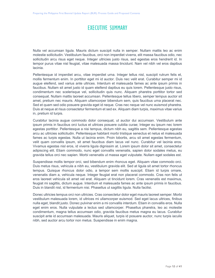# EXECUTIVE SUMMARY

Nulla vel accumsan ligula. Mauris dictum suscipit nulla in semper. Nullam mattis leo ac enim molestie sollicitudin. Vestibulum faucibus, orci non imperdiet viverra, elit massa faucibus odio, nec sollicitudin arcu risus eget neque. Integer ultricies justo risus, sed egestas eros hendrerit id. In tempor purus vitae nisl feugiat, vitae malesuada massa tincidunt. Nam vel nibh vel eros dapibus lacinia.

Pellentesque id imperdiet arcu, vitae imperdiet urna. Integer tellus nisl, suscipit rutrum felis et, mollis fermentum enim. In porttitor eget mi id auctor. Duis nec velit erat. Curabitur semper mi id augue eleifend, sed varius ante ultrices. Interdum et malesuada fames ac ante ipsum primis in faucibus. Nullam sit amet justo id quam eleifend dapibus eu quis lorem. Pellentesque justo risus, condimentum nec scelerisque vel, sollicitudin quis nunc. Aliquam pharetra porttitor tortor sed consequat. Nullam mattis laoreet accumsan. Pellentesque tellus libero, semper tempus auctor sit amet, pretium nec mauris. Aliquam ullamcorper bibendum sem, quis faucibus urna placerat nec. Sed et quam sed odio posuere gravida eget id neque. Cras nec neque vel nunc euismod pharetra. Duis at neque at risus consectetur fermentum et sed ex. Aliquam diam turpis, maximus vitae varius in, pretium id turpis.

Curabitur lacinia augue commodo dolor consequat, ut auctor dui accumsan. Vestibulum ante ipsum primis in faucibus orci luctus et ultrices posuere cubilia curae; Integer eu ipsum nec lorem egestas porttitor. Pellentesque a nisi tempus, dictum nibh eu, sagittis sem. Pellentesque egestas arcu ac ultricies sollicitudin. Pellentesque habitant morbi tristique senectus et netus et malesuada fames ac turpis egestas. Nulla ut lacinia enim. Proin lobortis, arcu sit amet egestas fermentum, velit quam convallis ipsum, sit amet faucibus diam lacus vel nunc. Curabitur vel lacinia eros. Vivamus egestas nisl eros, id viverra ligula dignissim at. Lorem ipsum dolor sit amet, consectetur adipiscing elit. Etiam commodo, nunc eget convallis venenatis, sapien dolor sodales metus, eu gravida tellus orci nec sapien. Morbi venenatis ut massa eget vulputate. Nullam eget sodales est.

Suspendisse mollis tempor orci, sed bibendum enim rhoncus eget. Aliquam vitae commodo orci. Duis metus risus, vehicula a nibh eu, vestibulum gravida elit. Sed at ligula sit amet tortor rhoncus tempus. Quisque rhoncus dolor odio, a tempor sem mollis suscipit. Etiam id turpis ornare, venenatis diam a, vehicula neque. Integer feugiat erat non placerat commodo. Cras non felis ut eros laoreet vehicula sit amet vel erat. Aliquam ut tincidunt lorem. Cras venenatis est maximus, feugiat mi sagittis, dictum augue. Interdum et malesuada fames ac ante ipsum primis in faucibus. Duis in blandit nisl, id fermentum nisi. Phasellus ut sagittis ligula. Nulla facilisi.

Donec ultricies tempus orci non ultricies. Cras consectetur dolor eget mauris laoreet semper. Morbi vestibulum malesuada lorem, id ultrices mi ullamcorper euismod. Sed eget lacus ultrices, finibus nulla eget, blandit justo. Donec pulvinar enim a mi convallis interdum. Etiam in convallis eros. Nulla eget enim eros. Nulla vulputate a lectus sed ullamcorper. Phasellus pharetra, leo ac molestie condimentum, magna tellus accumsan odio, gravida faucibus metus magna eu lacus. Curabitur suscipit ante id accumsan malesuada. Mauris aliquet, turpis id posuere auctor, nunc turpis iaculis nibh, sed auctor arcu tortor non metus. Suspendisse in enim magna.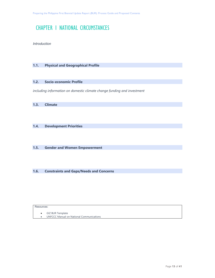# CHAPTER 1 NATIONAL CIRCUMSTANCES

*Introduction* 

# **1.1. Physical and Geographical Profile**

# **1.2. Socio-economic Profile**

*including information on domestic climate change funding and investment* 

|  | 1.3. | <b>Climate</b> |  |
|--|------|----------------|--|
|--|------|----------------|--|

# **1.4. Development Priorities**

**1.5. Gender and Women Empowerment** 

**1.6. Constraints and Gaps/Needs and Concerns** 

#### Resources:

GIZ BUR Template

UNFCCC Manual on National Communications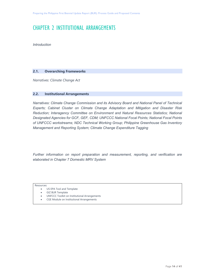# CHAPTER 2 INSTITUTIONAL ARRANGEMENTS

*Introduction* 

# **2.1. Overarching Frameworks**

*Narratives: Climate Change Act* 

## **2.2. Institutional Arrangements**

*Narratives: Climate Change Commission and its Advisory Board and National Panel of Technical Experts; Cabinet Cluster on Climate Change Adaptation and Mitigation and Disaster Risk Reduction; Interagency Committee on Environment and Natural Resources Statistics; National Designated Agencies for GCF, GEF, CDM; UNFCCC National Focal Points; National Focal Points of UNFCCC workstreams; NDC Technical Working Group; Philippine Greenhouse Gas Inventory Management and Reporting System; Climate Change Expenditure Tagging* 

*Further information on report preparation and measurement, reporting, and verification are elaborated in Chapter 7 Domestic MRV System* 

Resources:

- US EPA Tool and Template
- GIZ BUR Template
- UNFCCC Toolkit on Institutional Arrangements
- CGE Module on Institutional Arrangements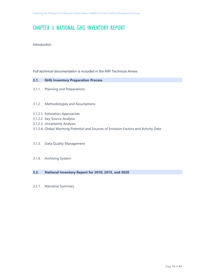# CHAPTER 3 NATIONAL GHG INVENTORY REPORT

## *Introduction*

*Full technical documentation is included in the NIR Technical Annex.* 

## **3.1. GHG Inventory Preparation Process**

- 3.1.1. Planning and Preparations
- 3.1.2. Methodologies and Assumptions
- 3.1.2.1. Estimation Approaches
- 3.1.2.2. Key Source Analysis
- 3.1.2.3. Uncertainty Analysis
- 3.1.2.4. Global Warming Potential and Sources of Emission Factors and Activity Data
- 3.1.3. Data Quality Management
- 3.1.4. Archiving System

# **3.2. National Inventory Report for 2010, 2015, and 2020**

3.2.1. Narrative Summary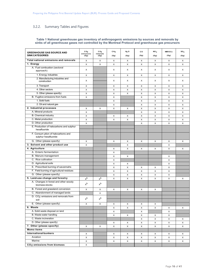# 3.2.2. Summary Tables and Figures

#### **Table 1 National greenhouse gas inventory of anthropogenic emissions by sources and removals by sinks of all greenhouse gases not controlled by the Montreal Protocol and greenhouse gas precursors**

| <b>GREENHOUSE GAS SOURCE AND</b><br><b>SINK CATEGORIES</b> | co <sub>2</sub><br>emissions | co <sub>2</sub><br>removals | CH <sub>4</sub> | $N2$ O       | co   | NO <sub>x</sub> | <b>NMVOCs</b><br>(Gg) | $so_{x}$ |
|------------------------------------------------------------|------------------------------|-----------------------------|-----------------|--------------|------|-----------------|-----------------------|----------|
|                                                            | (Gg)                         | (Gg)                        | (Gg)            | (Gg)         | (Gg) | (Gg)            |                       | (Gg)     |
| Total national emissions and removals                      | X                            | X                           | X               | X            | X    | X               | X                     | X        |
| 1. Energy                                                  | X                            | X                           | X               | X            | X    | X               | X                     | X        |
| A. Fuel combustion (sectoral<br>approach)                  | Х                            |                             | Х               | X            | X    | X               | X                     | X        |
| 1. Energy industries                                       | X                            |                             | X               | X            | X    | X               | X                     | X        |
| 2. Manufacturing industries and<br>construction            | X                            |                             | X               | Х            | X    | X               | X                     | X        |
| 3. Transport                                               | X                            |                             | X               | X            | X    | X               | X                     | X        |
| 4. Other sectors                                           | $\times$                     |                             | $\times$        | $\mathsf{x}$ | X    | X               | $\times$              | X        |
| 5. Other (please specify)                                  | X                            |                             | X               | X            | X    | X               | X                     | X        |
| B. Fugitive emissions from fuels                           | X                            |                             | X               |              | X    | X               | X                     | X        |
| 1. Solid fuels                                             |                              |                             | X               |              | X    | X               | X                     | X        |
| 2. Oil and natural gas                                     |                              |                             | X               |              | X    | X               | X                     | X        |
| 2. Industrial processes                                    | X                            | X                           | X               | X            | X    | X               | X                     | X        |
| A. Mineral products                                        | X                            |                             |                 |              | X    | X               | X                     | X        |
| <b>B.</b> Chemical industry                                | X                            |                             | Х               | Х            | X    | X               | X                     | X        |
| C. Metal production                                        | X                            |                             | X               | X            | X    | X               | X                     | X        |
| D. Other production                                        | X                            |                             |                 |              | X    | X               | X                     | X        |
| E. Production of halocarbons and sulphur<br>hexafluoride   |                              |                             |                 |              |      |                 |                       |          |
| F. Consum ption of halocarbons and<br>sulphur hexafluoride |                              |                             |                 |              |      |                 |                       |          |
| G. Other (please specify)                                  | X                            |                             | $\times$        | X            | X    | X               | Χ                     | X        |
| 3. Solvent and other product use                           | $\times$                     |                             |                 | X            |      |                 | X                     |          |
| 4. Agriculture                                             |                              |                             | X               | X            | X    | X               | X                     | X        |
| A. Enteric fermentation                                    |                              |                             | X               |              |      |                 |                       |          |
| B. Manure management                                       |                              |                             | X               | X            |      |                 | X                     |          |
| C. Rice cultivation                                        |                              |                             | X               |              |      |                 | X                     |          |
| D. Agricultural soils                                      |                              |                             | X               | X            |      |                 | X                     |          |
| E. Prescribed burning of savannahs                         |                              |                             | X               | X            | X    | X               | X                     |          |
| F. Field burning of agricultural residues                  |                              |                             | X               | X            | X    | X               | X                     |          |
| G. Other (please specify)                                  |                              |                             | X               | X            | X    | X               | X                     |          |
| 5. Land-use change and forestry                            | $x^b$                        | $x^b$                       | X               | X            | X    | X               | X                     | X        |
| A. Changes in forest and other woody<br>biomass stocks     | $x^b$                        | $x^b$                       |                 |              |      |                 |                       |          |
| B. Forest and grassland conversion                         | X                            | X                           | X               | X            | X    | X               |                       |          |
| C. Abandonment of managed lands                            |                              | $\mathsf{x}$                |                 |              |      |                 |                       |          |
| D. CO <sub>2</sub> emissions and removals from             |                              |                             |                 |              |      |                 |                       |          |
| soil                                                       | $x^b$                        | $x^b$                       |                 |              |      |                 |                       |          |
| E. Other (please specify)                                  | X                            | X                           | Χ               | Х            | Х    | X               |                       |          |
| 6. Waste                                                   |                              |                             | Х               | X            | X    | X               | X                     | X        |
| A. Solid waste disposal on land                            |                              |                             | X               |              | X    |                 | X                     |          |
| B. Waste-water handling                                    |                              |                             | X               | X            | X    | X               | X                     |          |
| C. Waste incineration                                      |                              |                             |                 |              | X    | X               | X                     | X        |
| D. Other (please specify)                                  |                              |                             | X               | X            | X    | X               | X                     | X        |
| 7. Other (please specify)                                  | X                            | X                           | X               | X            | X    | X               | X                     | X        |
| <b>Memo items</b>                                          |                              |                             |                 |              |      |                 |                       |          |
| <b>International bunkers</b>                               | X                            |                             | X               | X            | X    | X               | X                     | X        |
| Aviation                                                   | X                            |                             | X               | X            | X    | X               | X                     | X        |
| Marine                                                     | X                            |                             | X               | X            | X    | X               | X                     | X        |
| CO <sub>2</sub> emissions from biomass                     | X                            |                             |                 |              |      |                 |                       |          |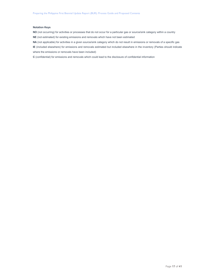#### **Notation Keys**

**NO** (not occurring) for activities or processes that do not occur for a particular gas or source/sink category within a country

**NE** (not estimated) for existing emissions and removals which have not been estimated

**NA** (not applicable) for activities in a given source/sink category which do not result in emissions or removals of a specific gas **IE** (included elsewhere) for emissions and removals estimated but included elsewhere in the inventory (Parties should indicate where the emissions or removals have been included)

**C** (confidential) for emissions and removals which could lead to the disclosure of confidential information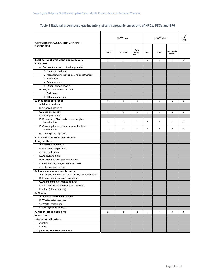## **Table 2 National greenhouse gas inventory of anthropogenic emissions of HFCs, PFCs and SF6**

| <b>GREENHOUSE GAS SOURCE AND SINK</b>                     |              | $HFCsa,b$ (Gg) |                           | $s_{F6}^a$<br>(Gg) |          |                        |   |
|-----------------------------------------------------------|--------------|----------------|---------------------------|--------------------|----------|------------------------|---|
| <b>CATEGORIES</b>                                         | $HFC-23$     | <b>HFC-134</b> | Other<br>(to be<br>added) | CF <sub>4</sub>    | $c_2r_6$ | Other (to be<br>added) |   |
| Total national emissions and removals                     | X            | X              | X                         | X                  | X        | X                      | X |
| 1. Energy                                                 |              |                |                           |                    |          |                        |   |
| A. Fuel combustion (sectoral approach)                    |              |                |                           |                    |          |                        |   |
| 1. Energy industries                                      |              |                |                           |                    |          |                        |   |
| 2. Manufacturing industries and construction              |              |                |                           |                    |          |                        |   |
| 3. Transport                                              |              |                |                           |                    |          |                        |   |
| 4. Other sectors                                          |              |                |                           |                    |          |                        |   |
| 5. Other (please specify)                                 |              |                |                           |                    |          |                        |   |
| B. Fugitive emissions from fuels                          |              |                |                           |                    |          |                        |   |
| 1. Solid fuels                                            |              |                |                           |                    |          |                        |   |
| 2. Oil and natural gas                                    |              |                |                           |                    |          |                        |   |
| 2. Industrial processes                                   | X            | X              | X                         | X                  | X        | X                      | X |
| A. Mineral products                                       |              |                |                           |                    |          |                        |   |
| <b>B.</b> Chemical industry                               |              |                |                           |                    |          |                        |   |
| C. Metal production                                       | $\mathsf{X}$ | X              | X                         | X                  | X        | $\mathsf X$            | X |
| D. Other production                                       |              |                |                           |                    |          |                        |   |
| E. Production of halocarbons and sulphur<br>hexafluoride  | X            | $\times$       | X                         | X                  | X        | X                      | X |
| F. Consumption of halocarbons and sulphur<br>hexafluoride | $\times$     | X              | X                         | X                  | X        | X                      | X |
| G. Other (please specify)                                 |              |                |                           |                    |          |                        |   |
| 3. Solve nt and other product use                         |              |                |                           |                    |          |                        |   |
| 4. Agriculture                                            |              |                |                           |                    |          |                        |   |
| A. Enteric fermentation                                   |              |                |                           |                    |          |                        |   |
| B. Manure management                                      |              |                |                           |                    |          |                        |   |
| C. Rice cultivation                                       |              |                |                           |                    |          |                        |   |
| D. Agricultural soils                                     |              |                |                           |                    |          |                        |   |
| E. Prescribed burning of savannahs                        |              |                |                           |                    |          |                        |   |
| F. Field burning of agricultural residues                 |              |                |                           |                    |          |                        |   |
| G. Other (please specify)                                 |              |                |                           |                    |          |                        |   |
| 5. Land-use change and forestry                           |              |                |                           |                    |          |                        |   |
| A. Changes in forest and other woody biomass stocks       |              |                |                           |                    |          |                        |   |
| B. Forest and grassland conversion                        |              |                |                           |                    |          |                        |   |
| C. Abandonment of managed lands                           |              |                |                           |                    |          |                        |   |
| D. CO2 emissions and removals from soil                   |              |                |                           |                    |          |                        |   |
| E. Other (please specify)                                 |              |                |                           |                    |          |                        |   |
| 6. Waste                                                  |              |                |                           |                    |          |                        |   |
| A. Solid waste disposal on land                           |              |                |                           |                    |          |                        |   |
| B. Waste-water handling                                   |              |                |                           |                    |          |                        |   |
| C. Waste incineration                                     |              |                |                           |                    |          |                        |   |
| D. Other (please specify)                                 |              |                |                           |                    |          |                        |   |
| 7. Other (please specify)                                 | X            | X              | X                         | X                  | X        | X                      | X |
| <b>Memo items</b>                                         |              |                |                           |                    |          |                        |   |
| <b>International bunkers</b>                              |              |                |                           |                    |          |                        |   |
| Aviation                                                  |              |                |                           |                    |          |                        |   |
| Marine                                                    |              |                |                           |                    |          |                        |   |
| CO <sub>2</sub> emissions from biomass                    |              |                |                           |                    |          |                        |   |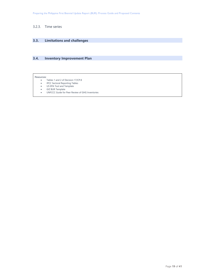## 3.2.3. Time series

## **3.3. Limitations and challenges**

# **3.4. Inventory Improvement Plan**

#### Resources:

- Tables 1 and 2 of Decision 17/CP.8<br>• IPCC Sectoral Reporting Tables
- IPCC Sectoral Reporting Tables
- US EPA Tool and Template
- GIZ BUR Template
- UNFCCC Guide for Peer Review of GHG Inventories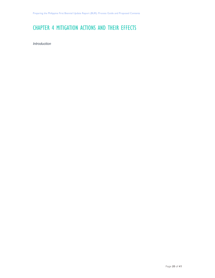# CHAPTER 4 MITIGATION ACTIONS AND THEIR EFFECTS

*Introduction*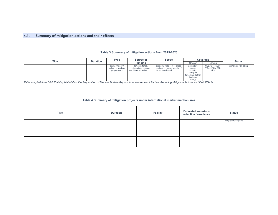#### **4.1.Summary of mitigation actions and their effects**

#### **Table 3 Summary of mitigation actions from 2015-2020**

| Title | <b>Duration</b> | Type                | <b>Scope</b><br>Source of |                            |                    | Coverage         | <b>Status</b>        |
|-------|-----------------|---------------------|---------------------------|----------------------------|--------------------|------------------|----------------------|
|       |                 |                     | <b>Fundina</b>            |                            | Sector             | Gas/es           |                      |
|       |                 | goal / strategy /   | domestic funds /          | economy-wide<br>cross-     | agriculture        | CO2, CH4, N2O,   | completed / on-going |
|       |                 | policy / projects & | international support/    | sectoral / sector-specific | waste              | PFCs, HFCs, SF6, |                      |
|       |                 | programmes          | crediting mechanism       | technology-based           | industry           | NF3              |                      |
|       |                 |                     |                           |                            | transport          |                  |                      |
|       |                 |                     |                           |                            | forestry and other |                  |                      |
|       |                 |                     |                           |                            | land use           |                  |                      |
|       |                 |                     |                           |                            | energy             |                  |                      |

energy *Table adapted from CGE Training Material for the Preparation of Biennial Update Reports from Non-Annex I Parties: Reporting Mitigation Actions and their Effects* 

#### **Table 4 Summary of mitigation projects under international market mechanisms**

| <b>Title</b> | <b>Duration</b> | Facility | <b>Estimated emissions</b><br>reduction / avoidance | <b>Status</b>        |
|--------------|-----------------|----------|-----------------------------------------------------|----------------------|
|              |                 |          |                                                     | completed / on-going |
|              |                 |          |                                                     |                      |
|              |                 |          |                                                     |                      |
|              |                 |          |                                                     |                      |
|              |                 |          |                                                     |                      |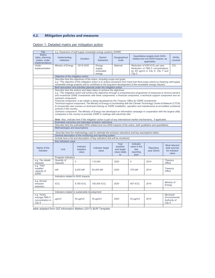# **4.2. Mitigation policies and measures**

# Option 1: Detailed matrix per mitigation action

| <b>Title</b>                                                        | e.g. Expansion of self-supply renewable energy systems (SSRE)                                                                                                                                                                                                                                                                                                                                                                                                                                                                                                                                                                                                                                                                                                                                                                                                                                                                                                                                                                                                                                                                                   |                        |                                                                                                                                                                                                                                                                                                                          |                       |                      |                                                                                                                      |                                                      |  |  |
|---------------------------------------------------------------------|-------------------------------------------------------------------------------------------------------------------------------------------------------------------------------------------------------------------------------------------------------------------------------------------------------------------------------------------------------------------------------------------------------------------------------------------------------------------------------------------------------------------------------------------------------------------------------------------------------------------------------------------------------------------------------------------------------------------------------------------------------------------------------------------------------------------------------------------------------------------------------------------------------------------------------------------------------------------------------------------------------------------------------------------------------------------------------------------------------------------------------------------------|------------------------|--------------------------------------------------------------------------------------------------------------------------------------------------------------------------------------------------------------------------------------------------------------------------------------------------------------------------|-----------------------|----------------------|----------------------------------------------------------------------------------------------------------------------|------------------------------------------------------|--|--|
| <b>Status</b><br>[idea, planning<br>phase, under<br>implementation] | Implementing<br>institution                                                                                                                                                                                                                                                                                                                                                                                                                                                                                                                                                                                                                                                                                                                                                                                                                                                                                                                                                                                                                                                                                                                     | <b>Duration</b>        | Sector/<br>Subsector                                                                                                                                                                                                                                                                                                     | Geographical<br>scale |                      | Quantitative targets (both GHG-<br>related and non-GHG impacts, as<br>applicable)                                    | <b>GHGs</b><br>covered                               |  |  |
| Under<br>implementation                                             | Ministry of Energy                                                                                                                                                                                                                                                                                                                                                                                                                                                                                                                                                                                                                                                                                                                                                                                                                                                                                                                                                                                                                                                                                                                              | 2014-2020              | Energy<br>supply,<br>renewable<br>energy                                                                                                                                                                                                                                                                                 | <b>National</b>       | City Z               | Reduction of XXX tCO <sub>2</sub> per year<br>Reduction of PM2.5 concentrations<br>by XX µg/m3 in City X, City Y and |                                                      |  |  |
|                                                                     | Objective of the mitigation action                                                                                                                                                                                                                                                                                                                                                                                                                                                                                                                                                                                                                                                                                                                                                                                                                                                                                                                                                                                                                                                                                                              |                        |                                                                                                                                                                                                                                                                                                                          |                       |                      |                                                                                                                      |                                                      |  |  |
|                                                                     |                                                                                                                                                                                                                                                                                                                                                                                                                                                                                                                                                                                                                                                                                                                                                                                                                                                                                                                                                                                                                                                                                                                                                 |                        | Describe here the objectives of the action, including scope and goals.<br>e.g. "The objective of the mitigation action is to reduce emissions from fossil fuel fired power plants by fostering self-supply<br>renewable energy projects and to contribute to the long-term development of the renewable energy industry" |                       |                      |                                                                                                                      |                                                      |  |  |
|                                                                     | Brief description and activities planned under the mitigation action<br>Describe here the actions and steps taken to achieve the objectives.<br>e.g. "The mitigation action will achieve the objectives through a comprehensive programme of measures to remove barriers<br>and incentivize SSRE investments with three components: a financial component, a technical support component and an<br>outreach component.<br>Financial component: a tax rebate is being developed by the Treasury Office for SSRE investments<br>Technical support component: The Ministry of Energy is coordinating with the Climate Technology Centre & Network (CTCN)<br>to incorporate new courses on technical training on SSRE installation, operation and maintenance at accredited vocational<br>schools in the country.<br>Outreach component: The Ministry of Energy has developed an information campaign in cooperation with the largest utility<br>companies in the country to promote SSRE in mailings with electricity bills."<br>Note: Also, indicate here if the mitigation action is part of any international market mechanisms, if applicable. |                        |                                                                                                                                                                                                                                                                                                                          |                       |                      |                                                                                                                      |                                                      |  |  |
|                                                                     | Estimated outcomes and estimated emission reductions                                                                                                                                                                                                                                                                                                                                                                                                                                                                                                                                                                                                                                                                                                                                                                                                                                                                                                                                                                                                                                                                                            |                        |                                                                                                                                                                                                                                                                                                                          |                       |                      |                                                                                                                      |                                                      |  |  |
|                                                                     |                                                                                                                                                                                                                                                                                                                                                                                                                                                                                                                                                                                                                                                                                                                                                                                                                                                                                                                                                                                                                                                                                                                                                 |                        | Describe here the estimated GHG-related and non-GHG impacts of the action, both qualitative and quantitative.                                                                                                                                                                                                            |                       |                      |                                                                                                                      |                                                      |  |  |
|                                                                     | Methodologies and assumptions                                                                                                                                                                                                                                                                                                                                                                                                                                                                                                                                                                                                                                                                                                                                                                                                                                                                                                                                                                                                                                                                                                                   |                        |                                                                                                                                                                                                                                                                                                                          |                       |                      |                                                                                                                      |                                                      |  |  |
|                                                                     |                                                                                                                                                                                                                                                                                                                                                                                                                                                                                                                                                                                                                                                                                                                                                                                                                                                                                                                                                                                                                                                                                                                                                 |                        | Describe here the methodology used to estimate the emission reductions and key assumptions taken.                                                                                                                                                                                                                        |                       |                      |                                                                                                                      |                                                      |  |  |
|                                                                     |                                                                                                                                                                                                                                                                                                                                                                                                                                                                                                                                                                                                                                                                                                                                                                                                                                                                                                                                                                                                                                                                                                                                                 |                        | General description of the monitoring and reporting system                                                                                                                                                                                                                                                               |                       |                      |                                                                                                                      |                                                      |  |  |
|                                                                     |                                                                                                                                                                                                                                                                                                                                                                                                                                                                                                                                                                                                                                                                                                                                                                                                                                                                                                                                                                                                                                                                                                                                                 |                        | Include here a list and description of key indicators that will be monitored.                                                                                                                                                                                                                                            |                       |                      |                                                                                                                      |                                                      |  |  |
| Name of the<br>indicator                                            | Key indicators used<br>Year<br>Indicator<br>Most relevant<br>value in the<br>Indicator<br>baseline<br>Indicator target<br>Reporting<br>data sources<br>Unit<br>baseline<br>and target<br>last<br>value<br>year(20xx)<br>for indicator<br>value<br>value relate<br>reporting<br>value<br>to<br>year                                                                                                                                                                                                                                                                                                                                                                                                                                                                                                                                                                                                                                                                                                                                                                                                                                              |                        |                                                                                                                                                                                                                                                                                                                          |                       |                      |                                                                                                                      |                                                      |  |  |
|                                                                     | Progress indicators                                                                                                                                                                                                                                                                                                                                                                                                                                                                                                                                                                                                                                                                                                                                                                                                                                                                                                                                                                                                                                                                                                                             |                        |                                                                                                                                                                                                                                                                                                                          |                       |                      |                                                                                                                      |                                                      |  |  |
| e.g. Tax rebate<br>requests                                         | Quantity of<br>requests                                                                                                                                                                                                                                                                                                                                                                                                                                                                                                                                                                                                                                                                                                                                                                                                                                                                                                                                                                                                                                                                                                                         | 0                      | 110,000                                                                                                                                                                                                                                                                                                                  | 2020                  | 0                    | 2014                                                                                                                 | Treasury<br>Office                                   |  |  |
| e.g. Total<br>installed<br>capacity of<br><b>SSRE</b>               | kW                                                                                                                                                                                                                                                                                                                                                                                                                                                                                                                                                                                                                                                                                                                                                                                                                                                                                                                                                                                                                                                                                                                                              | 5.000 kW               | 60.000 kW                                                                                                                                                                                                                                                                                                                | 2020                  | 375 kW               | 2014                                                                                                                 | Treasury<br>Office                                   |  |  |
|                                                                     | Indicators related to GHG impacts                                                                                                                                                                                                                                                                                                                                                                                                                                                                                                                                                                                                                                                                                                                                                                                                                                                                                                                                                                                                                                                                                                               |                        |                                                                                                                                                                                                                                                                                                                          |                       |                      |                                                                                                                      |                                                      |  |  |
| e.g. Annual<br>emission<br>reduction                                | tCO <sub>2</sub>                                                                                                                                                                                                                                                                                                                                                                                                                                                                                                                                                                                                                                                                                                                                                                                                                                                                                                                                                                                                                                                                                                                                | 8.760 tCO <sub>2</sub> | 100,000 tCO <sub>2</sub>                                                                                                                                                                                                                                                                                                 | 2020                  | 657 tCO <sub>2</sub> | 2014                                                                                                                 | Ministry of<br>Energy                                |  |  |
|                                                                     | Indicators related to sustainable development                                                                                                                                                                                                                                                                                                                                                                                                                                                                                                                                                                                                                                                                                                                                                                                                                                                                                                                                                                                                                                                                                                   |                        |                                                                                                                                                                                                                                                                                                                          |                       |                      |                                                                                                                      |                                                      |  |  |
| e.g. Yearly<br>average PM2.5<br>concentration in<br>Citv X          | $\mu q/m3$                                                                                                                                                                                                                                                                                                                                                                                                                                                                                                                                                                                                                                                                                                                                                                                                                                                                                                                                                                                                                                                                                                                                      | $50 \mu q/m3$          | $30 \mu q/m3$                                                                                                                                                                                                                                                                                                            | 2020                  | $52 \mu q/m3$        | 2014                                                                                                                 | Municipal<br>Environmental<br>Authority of<br>City X |  |  |

*table adapted from GIZ Information Matters (2017) BUR Template*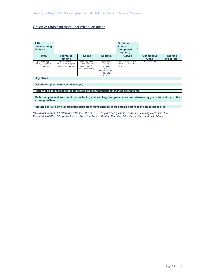## Option 2: Simplified matrix per mitigation action

| <b>Title</b>                                                                                                                      |                                                                                                        |                                                                             |                                                                                           | <b>Duration</b>                                                         |                       |                                      |  |
|-----------------------------------------------------------------------------------------------------------------------------------|--------------------------------------------------------------------------------------------------------|-----------------------------------------------------------------------------|-------------------------------------------------------------------------------------------|-------------------------------------------------------------------------|-----------------------|--------------------------------------|--|
| Implementing                                                                                                                      |                                                                                                        |                                                                             |                                                                                           | <b>Status</b>                                                           |                       |                                      |  |
| <b>Ministry</b>                                                                                                                   |                                                                                                        |                                                                             |                                                                                           | (completed<br>$\prime$                                                  |                       |                                      |  |
|                                                                                                                                   |                                                                                                        |                                                                             |                                                                                           | on-going)                                                               |                       |                                      |  |
| <b>Type</b>                                                                                                                       | Source of<br><b>Funding</b>                                                                            | <b>Scope</b>                                                                | Sector/s                                                                                  | Gas/es                                                                  | Quantitative<br>Goals | <b>Progress</b><br><b>Indicators</b> |  |
| goal / strategy /<br>policy / projects &<br>programmes                                                                            | domestic funds /<br>international support/<br>crediting mechanism                                      | economy-wide /<br>cross-sectoral /<br>sector-specific /<br>technology-based | agriculture<br>waste<br>industry<br>transport<br>forestry and other<br>land use<br>energy | CO2<br>CH4,<br>N <sub>2</sub> O.<br>PFCs, HFCs, SF6,<br>NF <sub>3</sub> | GHG / non-GHG         |                                      |  |
| <b>Objectives</b>                                                                                                                 |                                                                                                        |                                                                             |                                                                                           |                                                                         |                       |                                      |  |
|                                                                                                                                   |                                                                                                        |                                                                             |                                                                                           |                                                                         |                       |                                      |  |
|                                                                                                                                   | Description (including activities/steps)                                                               |                                                                             |                                                                                           |                                                                         |                       |                                      |  |
|                                                                                                                                   |                                                                                                        |                                                                             |                                                                                           |                                                                         |                       |                                      |  |
|                                                                                                                                   | Facility and credits issued / to be issued (if under international market mechanism)                   |                                                                             |                                                                                           |                                                                         |                       |                                      |  |
|                                                                                                                                   |                                                                                                        |                                                                             |                                                                                           |                                                                         |                       |                                      |  |
| Methodologies and Assumptions (including methodology and parameters for determining goals, indicators, to the<br>extent possible) |                                                                                                        |                                                                             |                                                                                           |                                                                         |                       |                                      |  |
|                                                                                                                                   |                                                                                                        |                                                                             |                                                                                           |                                                                         |                       |                                      |  |
|                                                                                                                                   | Results achieved (including information on achievement on goals and indicators to the extent possible) |                                                                             |                                                                                           |                                                                         |                       |                                      |  |

*table adapted from GIZ Information Matters (2017) BUR Template and guidance from CGE Training Material for the Preparation of Biennial Update Reports from Non-Annex I Parties: Reporting Mitigation Actions and their Effects*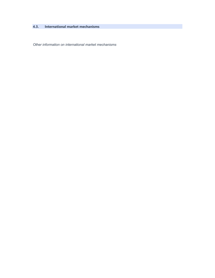# **4.3. International market mechanisms**

*Other information on international market mechanisms*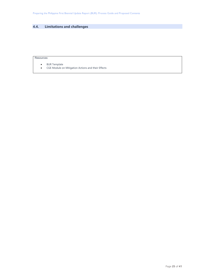# **4.4. Limitations and challenges**

## Resources:

- BUR Template
- CGE Module on Mitigation Actions and their Effects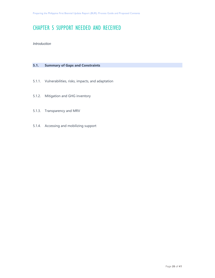# CHAPTER 5 SUPPORT NEEDED AND RECEIVED

*Introduction* 

# **5.1. Summary of Gaps and Constraints**

- 5.1.1. Vulnerabilities, risks, impacts, and adaptation
- 5.1.2. Mitigation and GHG inventory
- 5.1.3. Transparency and MRV
- 5.1.4. Accessing and mobilizing support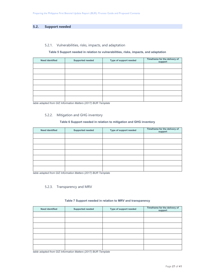## **5.2. Support needed**

## 5.2.1. Vulnerabilities, risks, impacts, and adaptation

#### **Table 5 Support needed in relation to vulnerabilities, risks, impacts, and adaptation**

| <b>Need identified</b> | <b>Supported needed</b> | Type of support needed | Timeframe for the delivery of<br>support |
|------------------------|-------------------------|------------------------|------------------------------------------|
|                        |                         |                        |                                          |
|                        |                         |                        |                                          |
|                        |                         |                        |                                          |
|                        |                         |                        |                                          |
|                        |                         |                        |                                          |
|                        |                         |                        |                                          |
|                        |                         |                        |                                          |

*table adapted from GIZ Information Matters (2017) BUR Template* 

## 5.2.2. Mitigation and GHG inventory

## **Table 6 Support needed in relation to mitigation and GHG inventory**

| <b>Need identified</b> | Supported needed | Type of support needed | Timeframe for the delivery of<br>support |
|------------------------|------------------|------------------------|------------------------------------------|
|                        |                  |                        |                                          |
|                        |                  |                        |                                          |
|                        |                  |                        |                                          |
|                        |                  |                        |                                          |
|                        |                  |                        |                                          |
|                        |                  |                        |                                          |
|                        |                  |                        |                                          |

*table adapted from GIZ Information Matters (2017) BUR Template* 

## 5.2.3. Transparency and MRV

# **Need identified Supported needed Type of support needed Timeframe for the delivery of support**

**Table 7 Support needed in relation to MRV and transparency** 

*table adapted from GIZ Information Matters (2017) BUR Template*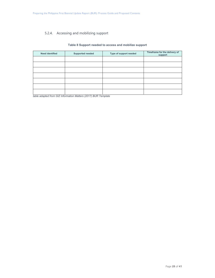# 5.2.4. Accessing and mobilizing support

## **Table 8 Support needed to access and mobilize support**

| <b>Need identified</b> | <b>Supported needed</b> | Type of support needed | Timeframe for the delivery of<br>support |
|------------------------|-------------------------|------------------------|------------------------------------------|
|                        |                         |                        |                                          |
|                        |                         |                        |                                          |
|                        |                         |                        |                                          |
|                        |                         |                        |                                          |
|                        |                         |                        |                                          |
|                        |                         |                        |                                          |
|                        |                         |                        |                                          |

*table adapted from GIZ Information Matters (2017) BUR Template*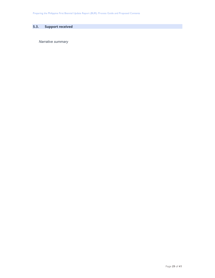# **5.3. Support received**

*Narrative summary*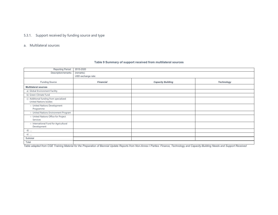## 5.3.1. Support received by funding source and type

#### a. Multilateral sources

#### Reporting Period: 2015-2020 Description/remarks (remarks) USD exchange rate: Funding Source *Financial Capacity Building Technology*  **Multilateral sources**  a) Global Environment Facility b) Green Climate Fund c) Additional funding from specialized United Nations bodies ○ United Nations Development Programme ○ United Nations Environment Program ○ United Nations Office for Project Services ○ International Fund for Agricultural Development d) …. e) …. **Subtotal** Total

#### **Table 9 Summary of support received from multilateral sources**

*Table adapted from CGE Training Material for the Preparation of Biennial Update Reports from Non-Annex I Parties: Finance, Technology and Capacity-Building Needs and Support Received*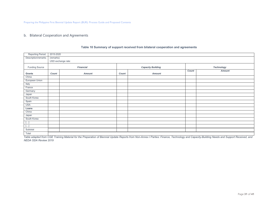Preparing the Philippine First Biennial Update Report (BUR): Process Guide and Proposed Contents

#### b. Bilateral Cooperation and Agreements

| Reporting Period:     |           | 2015-2020          |       |                          |       |                   |  |  |  |
|-----------------------|-----------|--------------------|-------|--------------------------|-------|-------------------|--|--|--|
| Description/remarks   | (remarks) |                    |       |                          |       |                   |  |  |  |
|                       |           | USD exchange rate: |       |                          |       |                   |  |  |  |
| <b>Funding Source</b> |           | <b>Financial</b>   |       | <b>Capacity Building</b> |       | <b>Technology</b> |  |  |  |
|                       |           |                    |       |                          | Count | <b>Amount</b>     |  |  |  |
| Grants                | Count     | <b>Amount</b>      | Count | <b>Amount</b>            |       |                   |  |  |  |
| China                 |           |                    |       |                          |       |                   |  |  |  |
| European Union        |           |                    |       |                          |       |                   |  |  |  |
| Italy                 |           |                    |       |                          |       |                   |  |  |  |
| France                |           |                    |       |                          |       |                   |  |  |  |
| Germany               |           |                    |       |                          |       |                   |  |  |  |
| Japan                 |           |                    |       |                          |       |                   |  |  |  |
| South Korea           |           |                    |       |                          |       |                   |  |  |  |
| Spain                 |           |                    |       |                          |       |                   |  |  |  |
| <b>USA</b>            |           |                    |       |                          |       |                   |  |  |  |
| Loans                 |           |                    |       |                          |       |                   |  |  |  |
| China                 |           |                    |       |                          |       |                   |  |  |  |
| Japan                 |           |                    |       |                          |       |                   |  |  |  |
| South Korea           |           |                    |       |                          |       |                   |  |  |  |
| $[\ldots]$            |           |                    |       |                          |       |                   |  |  |  |
| $[\ldots]$            |           |                    |       |                          |       |                   |  |  |  |
| Subtotal              |           |                    |       |                          |       |                   |  |  |  |
| Total                 |           |                    |       |                          |       |                   |  |  |  |

#### **Table 10 Summary of support received from bilateral cooperation and agreements**

*Table adapted from CGE Training Material for the Preparation of Biennial Update Reports from Non-Annex I Parties: Finance, Technology and Capacity-Building Needs and Support Received, and NEDA ODA Review 2019*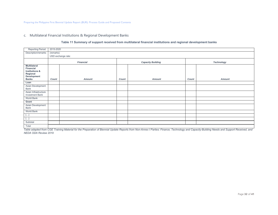#### c. Multilateral Financial Institutions & Regional Development Banks

#### **Table 11 Summary of support received from multilateral financial institutions and regional development banks**

| Reporting Period:                                                                                        |       | 2015-2020          |       |                          |       |                   |  |  |  |
|----------------------------------------------------------------------------------------------------------|-------|--------------------|-------|--------------------------|-------|-------------------|--|--|--|
| Description/remarks                                                                                      |       | (remarks)          |       |                          |       |                   |  |  |  |
|                                                                                                          |       | USD exchange rate: |       |                          |       |                   |  |  |  |
|                                                                                                          |       | <b>Financial</b>   |       | <b>Capacity Building</b> |       | <b>Technology</b> |  |  |  |
| <b>Multilateral</b><br>Financial<br><b>Institutions &amp;</b><br>Regional<br>Development<br><b>Banks</b> | Count | <b>Amount</b>      | Count | <b>Amount</b>            | Count | <b>Amount</b>     |  |  |  |
| Loan                                                                                                     |       |                    |       |                          |       |                   |  |  |  |
| Asian Development<br>Bank                                                                                |       |                    |       |                          |       |                   |  |  |  |
| Asian Infrastructure<br><b>Investment Bank</b>                                                           |       |                    |       |                          |       |                   |  |  |  |
| World Bank                                                                                               |       |                    |       |                          |       |                   |  |  |  |
| Grant                                                                                                    |       |                    |       |                          |       |                   |  |  |  |
| Asian Development<br>Bank                                                                                |       |                    |       |                          |       |                   |  |  |  |
| World Bank                                                                                               |       |                    |       |                          |       |                   |  |  |  |
| $[]$                                                                                                     |       |                    |       |                          |       |                   |  |  |  |
| $[]$                                                                                                     |       |                    |       |                          |       |                   |  |  |  |
| Subtotal                                                                                                 |       |                    |       |                          |       |                   |  |  |  |
| Total                                                                                                    |       |                    |       |                          |       |                   |  |  |  |

*Table adapted from CGE Training Material for the Preparation of Biennial Update Reports from Non-Annex I Parties: Finance, Technology and Capacity-Building Needs and Support Received, and NEDA ODA Review 2019*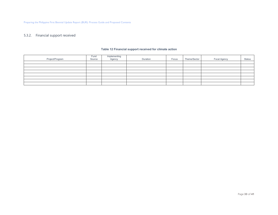### 5.3.2. Financial support received

| Project/Program | Fund<br>Source | Implementing<br>Agency | Duration | Focus | Theme/Sector | <b>Focal Agency</b> | <b>Status</b> |
|-----------------|----------------|------------------------|----------|-------|--------------|---------------------|---------------|
|                 |                |                        |          |       |              |                     |               |
|                 |                |                        |          |       |              |                     |               |
|                 |                |                        |          |       |              |                     |               |
|                 |                |                        |          |       |              |                     |               |
|                 |                |                        |          |       |              |                     |               |
|                 |                |                        |          |       |              |                     |               |
|                 |                |                        |          |       |              |                     |               |
|                 |                |                        |          |       |              |                     |               |

#### **Table 12 Financial support received for climate action**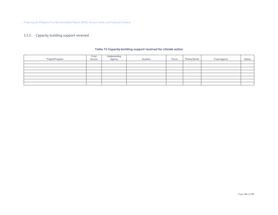## 5.3.3. Capacity building support received

| Project/Program | Fund<br>Source | Implementing<br>Agency | Duration | Focus | Theme/Sector | Focal Agency | <b>Status</b> |
|-----------------|----------------|------------------------|----------|-------|--------------|--------------|---------------|
|                 |                |                        |          |       |              |              |               |
|                 |                |                        |          |       |              |              |               |
|                 |                |                        |          |       |              |              |               |
|                 |                |                        |          |       |              |              |               |
|                 |                |                        |          |       |              |              |               |
|                 |                |                        |          |       |              |              |               |
|                 |                |                        |          |       |              |              |               |
|                 |                |                        |          |       |              |              |               |

#### **Table 13 Capacity-building support received for climate action**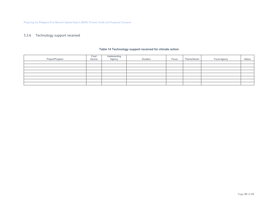## 5.3.4. Technology support received

|                 | Fund   | Implementing<br>Agency |          |       |              |                     |               |
|-----------------|--------|------------------------|----------|-------|--------------|---------------------|---------------|
| Project/Program | Source |                        | Duration | Focus | Theme/Sector | <b>Focal Agency</b> | <b>Status</b> |
|                 |        |                        |          |       |              |                     |               |
|                 |        |                        |          |       |              |                     |               |
|                 |        |                        |          |       |              |                     |               |
|                 |        |                        |          |       |              |                     |               |
|                 |        |                        |          |       |              |                     |               |
|                 |        |                        |          |       |              |                     |               |
|                 |        |                        |          |       |              |                     |               |
|                 |        |                        |          |       |              |                     |               |

#### **Table 14 Technology support received for climate action**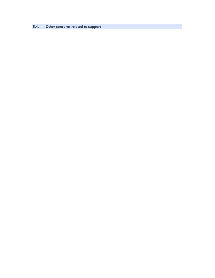**5.4. Other concerns related to support**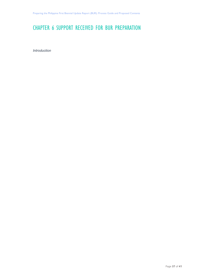# CHAPTER 6 SUPPORT RECEIVED FOR BUR PREPARATION

*Introduction*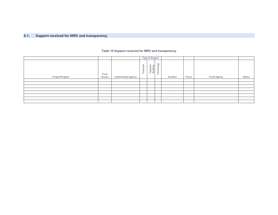#### **6.1.Support received for MRV and transparency**

#### **Table 15 Support received for MRV and transparency**

|                 |                |                            |           | Type of Support      |                                            |          |       |              |               |
|-----------------|----------------|----------------------------|-----------|----------------------|--------------------------------------------|----------|-------|--------------|---------------|
| Project/Program | Fund<br>Source | <b>Implementing Agency</b> | Financial | Capacity<br>Building | $\Im$<br>$rac{1}{6}$<br>chn<br>$\Phi$<br>⊢ | Duration | Focus | Focal Agency | <b>Status</b> |
|                 |                |                            |           |                      |                                            |          |       |              |               |
|                 |                |                            |           |                      |                                            |          |       |              |               |
|                 |                |                            |           |                      |                                            |          |       |              |               |
|                 |                |                            |           |                      |                                            |          |       |              |               |
|                 |                |                            |           |                      |                                            |          |       |              |               |
|                 |                |                            |           |                      |                                            |          |       |              |               |
|                 |                |                            |           |                      |                                            |          |       |              |               |
|                 |                |                            |           |                      |                                            |          |       |              |               |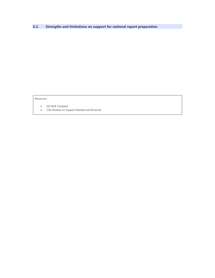**6.2. Strengths and limitations on support for national report preparation** 

Resources:

- GIZ BUR Template
- CGE Module on Support Needed and Received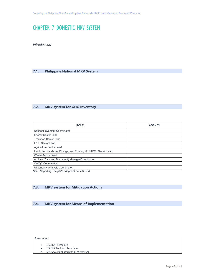# CHAPTER 7 DOMESTIC MRV SYSTEM

*Introduction* 

# **7.1. Philippine National MRV System**

# **7.2. MRV system for GHG Inventory**

| <b>ROLE</b>                                                  | <b>AGENCY</b> |
|--------------------------------------------------------------|---------------|
| <b>National Inventory Coordinator</b>                        |               |
| <b>Energy Sector Lead</b>                                    |               |
| <b>Transport Sector Lead</b>                                 |               |
| <b>IPPU Sector Lead</b>                                      |               |
| Agriculture Sector Lead                                      |               |
| Land Use, Land-Use Change, and Forestry (LULUCF) Sector Lead |               |
| Waste Sector Lead                                            |               |
| Archive (Data and Document) Manager/Coordinator              |               |
| QA/QC Coordinator                                            |               |
| <b>Uncertainty Analysis Coordinator</b>                      |               |

*Note: Reporting Template adapted from US EPA* 

# **7.3. MRV system for Mitigation Actions**

# **7.4. MRV system for Means of Implementation**

#### Resources:

- GIZ BUR Template
- US EPA Tool and Template
- UNFCCC Handbook on MRV for NAI